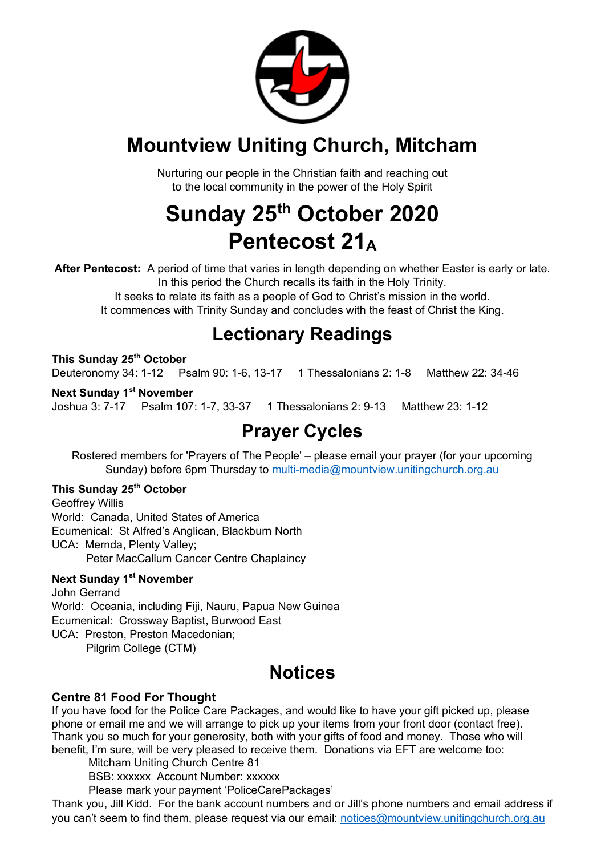

## **Mountview Uniting Church, Mitcham**

Nurturing our people in the Christian faith and reaching out to the local community in the power of the Holy Spirit

## **Sunday 25th October 2020 Pentecost 21A**

**After Pentecost:** A period of time that varies in length depending on whether Easter is early or late. In this period the Church recalls its faith in the Holy Trinity. It seeks to relate its faith as a people of God to Christ's mission in the world.

It commences with Trinity Sunday and concludes with the feast of Christ the King.

## **Lectionary Readings**

**This Sunday 25th October** Deuteronomy 34: 1-12 Psalm 90: 1-6, 13-17 1 Thessalonians 2: 1-8 Matthew 22: 34-46

**Next Sunday 1st November** Joshua 3: 7-17 Psalm 107: 1-7, 33-37 1 Thessalonians 2: 9-13 Matthew 23: 1-12

## **Prayer Cycles**

Rostered members for 'Prayers of The People' – please email your prayer (for your upcoming Sunday) before 6pm Thursday to multi-media@mountview.unitingchurch.org.au

#### **This Sunday 25th October**

Geoffrey Willis World: Canada, United States of America Ecumenical: St Alfred's Anglican, Blackburn North UCA: Mernda, Plenty Valley; Peter MacCallum Cancer Centre Chaplaincy

#### **Next Sunday 1st November**

John Gerrand World: Oceania, including Fiji, Nauru, Papua New Guinea Ecumenical: Crossway Baptist, Burwood East UCA: Preston, Preston Macedonian; Pilgrim College (CTM)

## **Notices**

#### **Centre 81 Food For Thought**

If you have food for the Police Care Packages, and would like to have your gift picked up, please phone or email me and we will arrange to pick up your items from your front door (contact free). Thank you so much for your generosity, both with your gifts of food and money. Those who will benefit, I'm sure, will be very pleased to receive them. Donations via EFT are welcome too:

Mitcham Uniting Church Centre 81

BSB: xxxxxx Account Number: xxxxxx

Please mark your payment 'PoliceCarePackages'

Thank you, Jill Kidd. For the bank account numbers and or Jill's phone numbers and email address if you can't seem to find them, please request via our email: notices@mountview.unitingchurch.org.au